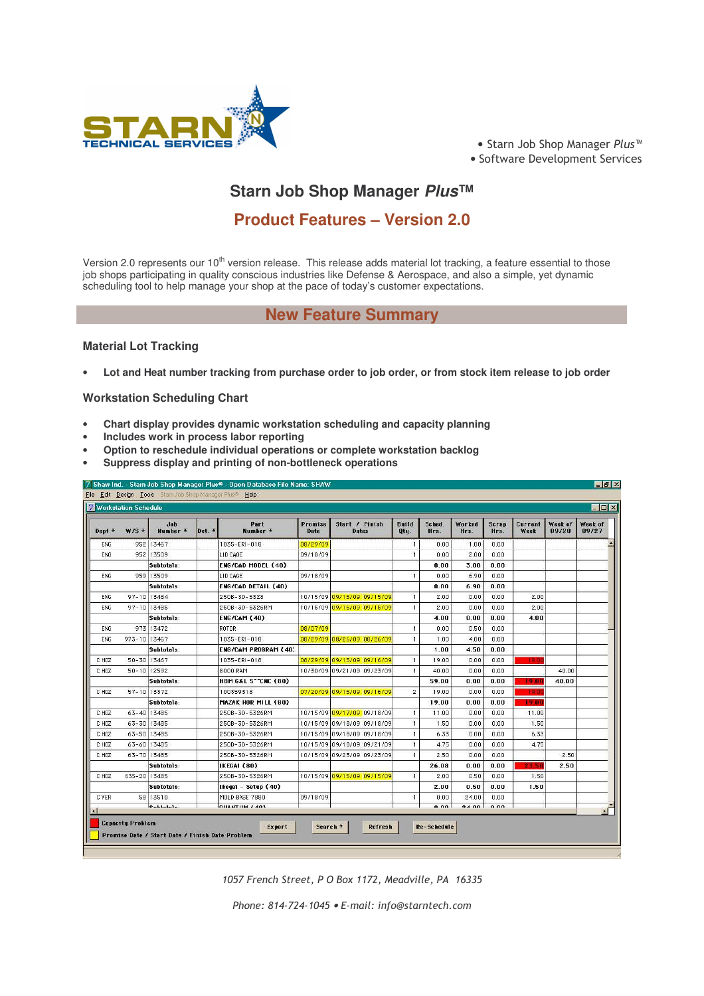

● Starn Job Shop Manager Plus™ • Software Development Services

# **Starn Job Shop Manager** *Plus***™**

## **Product Features – Version 2.0**

Version 2.0 represents our 10<sup>th</sup> version release. This release adds material lot tracking, a feature essential to those job shops participating in quality conscious industries like Defense & Aerospace, and also a simple, yet dynamic scheduling tool to help manage your shop at the pace of today's customer expectations.

### **New Feature Summary**

#### **Material Lot Tracking**

Lot and Heat number tracking from purchase order to job order, or from stock item release to job order

#### **Workstation Scheduling Chart**

- **Chart display provides dynamic workstation scheduling and capacity planning**
- **Includes work in process labor reporting**
- **Option to reschedule individual operations or complete workstation backlog**
- **Suppress display and printing of non-bottleneck operations**

| Dept *      | $W/S$ *      | <b>Job</b><br>Number * | Det. * | Part<br>Number *              | Promise<br>Date | Start / Finish<br><b>Dates</b> | <b>Build</b><br>Qty. | Sched.<br>Hrs. | Worked<br>Hrs. | Scrap<br>Hrs. | Current<br>Week | Week of<br>09/20 | Week of<br>09/27 |
|-------------|--------------|------------------------|--------|-------------------------------|-----------------|--------------------------------|----------------------|----------------|----------------|---------------|-----------------|------------------|------------------|
| ENG         |              | 952 13467              |        | 1035-ERI-018                  | 08/29/09        |                                |                      | 0.00           | 1.00           | 0.00          |                 |                  |                  |
| ENG         |              | 952 13509              |        | LID CAGE                      | 09/18/09        |                                |                      | 0.00           | 2.00           | 0.00          |                 |                  |                  |
|             |              | Subtotals:             |        | ENG/CAD MODEL (40)            |                 |                                |                      | 0.00           | 3.00           | 0.00          |                 |                  |                  |
| <b>ENG</b>  |              | 959 13509              |        | LID CAGE                      | 09/18/09        |                                |                      | 0.00           | 6.90           | 0.00          |                 |                  |                  |
|             |              | Subtotals:             |        | ENG/CAD DETAIL (40)           |                 |                                |                      | 0.00           | 6.90           | 0.00          |                 |                  |                  |
| ENG         | 97-10 13484  |                        |        | 250B-3D-5328                  |                 | 10/15/09 09/15/09 09/15/09     |                      | 2.00           | 0.00           | 0.00          | 2.00            |                  |                  |
| ENG         | 97-10 13485  |                        |        | 250B-3D-5326RM                |                 | 10/15/09 09/15/09 09/15/09     |                      | 2.00           | 0.00           | 0.00          | 2.00            |                  |                  |
|             |              | Subtotals:             |        | ENG/CAM (40)                  |                 |                                |                      | 4.00           | 0.00           | 0.00          | 4.00            |                  |                  |
| <b>ENG</b>  |              | 973 13472              |        | ROTOR                         | 08/07/09        |                                | $\mathbf{1}$         | 0.00           | 0.50           | 0.00          |                 |                  |                  |
| ENG.        | 973-10 13467 |                        |        | 1035-ERI-018                  |                 | 08/29/09 08/26/09 08/26/09     |                      | 1.00           | 4.00           | 0.00          |                 |                  |                  |
|             |              | Subtotals:             |        | ENG/CAM PROGRAM (40)          |                 |                                |                      | 1.00           | 4.50           | 0.00          |                 |                  |                  |
| C HOZ       | 50-30 13467  |                        |        | 1035-ERI-018                  |                 | 08/29/09 09/15/09 09/16/09     |                      | 19.00          | 0.00           | 0.00          | <b>DOM:</b>     |                  |                  |
| C HOZ       | 50-10 12592  |                        |        | 8000 RAM                      |                 | 10/30/09 09/21/09 09/23/09     | $\overline{1}$       | 40.00          | 0.00           | 0.00          |                 | 40.00            |                  |
|             |              | Subtotals:             |        | <b>HBM G&amp;L 5"CNC (80)</b> |                 |                                |                      | 59.00          | 0.00           | 0.00          | 19.00           | 40.00            |                  |
| C HOZ       | 57-10 13372  |                        |        | 100359318                     |                 | 07/20/09 09/15/09 09/16/09     | $\mathbf{2}$         | 19.00          | 0.00           | 0.00          | $19 - 1$        |                  |                  |
|             |              | Subtotals:             |        | MAZAK HOR MILL (80)           |                 |                                |                      | 19.00          | 0.00           | 0.00          | 19.00           |                  |                  |
| C HOZ       | 63-40 13485  |                        |        | 250B-3D-5326RM                |                 | 10/15/09 09/17/09 09/18/09     | $\mathbf{1}$         | 11.00          | 0.00           | 0.00          | 11.00           |                  |                  |
| C HOZ       | 63-30 13485  |                        |        | 250B-3D-5326RM                |                 | 10/15/09 09/18/09 09/18/09     |                      | 1.50           | 0.00           | 0.00          | 1.50            |                  |                  |
| C HOZ       | 63-50 13485  |                        |        | 250B-3D-5326RM                |                 | 10/15/09 09/18/09 09/18/09     |                      | 6.33           | 0.00           | 0.00          | 6.33            |                  |                  |
| C HOZ       |              | 63-60 13485            |        | 250B-3D-5326RM                |                 | 10/15/09 09/18/09 09/21/09     |                      | 4.75           | 0.00           | 0.00          | 4.75            |                  |                  |
| C HOZ       | 63-70 13485  |                        |        | 250B-3D-5326RM                |                 | 10/15/09 09/23/09 09/23/09     |                      | 2.50           | 0.00           | 0.00          |                 | 2.50             |                  |
|             |              | Subtotals:             |        | IKEGAI (80)                   |                 |                                |                      | 26.08          | 0.00           | 0.00          | 23.51           | 2.50             |                  |
| C HOZ       | 635-20 13485 |                        |        | 250B-3D-5326RM                |                 | 10/15/09 09/15/09 09/15/09     |                      | 2.00           | 0.50           | 0.00          | 1.50            |                  |                  |
|             |              | Subtotals:             |        | Ikegai – Setup (40)           |                 |                                |                      | 2.00           | 0.50           | 0.00          | 1.50            |                  |                  |
| <b>CYER</b> |              | 58 13510               |        | MOLD BASE 7880                | 09/18/09        |                                |                      | 0.00           | 24.00          | 0.00          |                 |                  |                  |
|             |              | Cubininla.             |        | <b>OUANTIN LAOS</b>           |                 |                                |                      | 0.00           | 0.4.00         | 0.00          |                 |                  | $\mathbf{E}$     |

1057 French Street, P O Box 1172, Meadville, PA 16335

Phone: 814-724-1045 • E-mail: info@starntech.con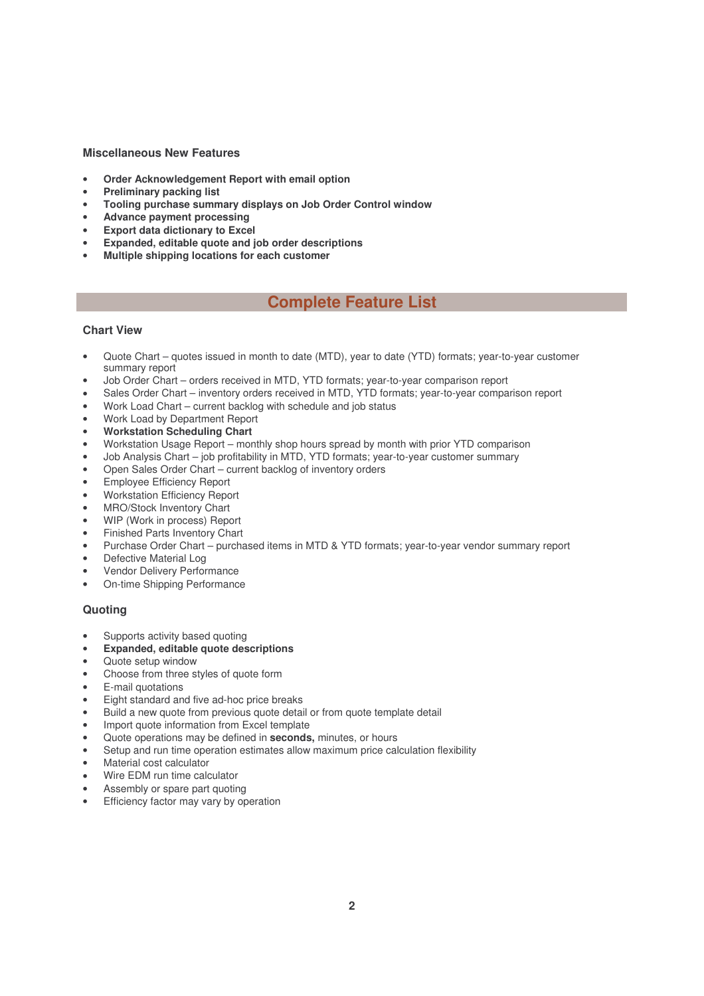#### **Miscellaneous New Features**

- **Order Acknowledgement Report with email option**
- **Preliminary packing list**
- **Tooling purchase summary displays on Job Order Control window**
- **Advance payment processing**
- **Export data dictionary to Excel**
- **Expanded, editable quote and job order descriptions**
- **Multiple shipping locations for each customer**

## **Complete Feature List**

#### **Chart View**

- Quote Chart quotes issued in month to date (MTD), year to date (YTD) formats; year-to-year customer summary report
- Job Order Chart orders received in MTD, YTD formats; year-to-year comparison report
- Sales Order Chart inventory orders received in MTD, YTD formats; year-to-year comparison report
- Work Load Chart current backlog with schedule and job status
- Work Load by Department Report
- **Workstation Scheduling Chart**
- Workstation Usage Report monthly shop hours spread by month with prior YTD comparison
- Job Analysis Chart job profitability in MTD, YTD formats; year-to-year customer summary
- Open Sales Order Chart current backlog of inventory orders
- Employee Efficiency Report
- Workstation Efficiency Report
- MRO/Stock Inventory Chart
- WIP (Work in process) Report
- Finished Parts Inventory Chart
- Purchase Order Chart purchased items in MTD & YTD formats; year-to-year vendor summary report
- Defective Material Log
- Vendor Delivery Performance
- On-time Shipping Performance

#### **Quoting**

- Supports activity based quoting
- **Expanded, editable quote descriptions**
- Quote setup window
- Choose from three styles of quote form
- E-mail quotations
- Eight standard and five ad-hoc price breaks
- Build a new quote from previous quote detail or from quote template detail
- Import quote information from Excel template
- Quote operations may be defined in **seconds,** minutes, or hours
- Setup and run time operation estimates allow maximum price calculation flexibility
- Material cost calculator
- Wire EDM run time calculator
- Assembly or spare part quoting
- Efficiency factor may vary by operation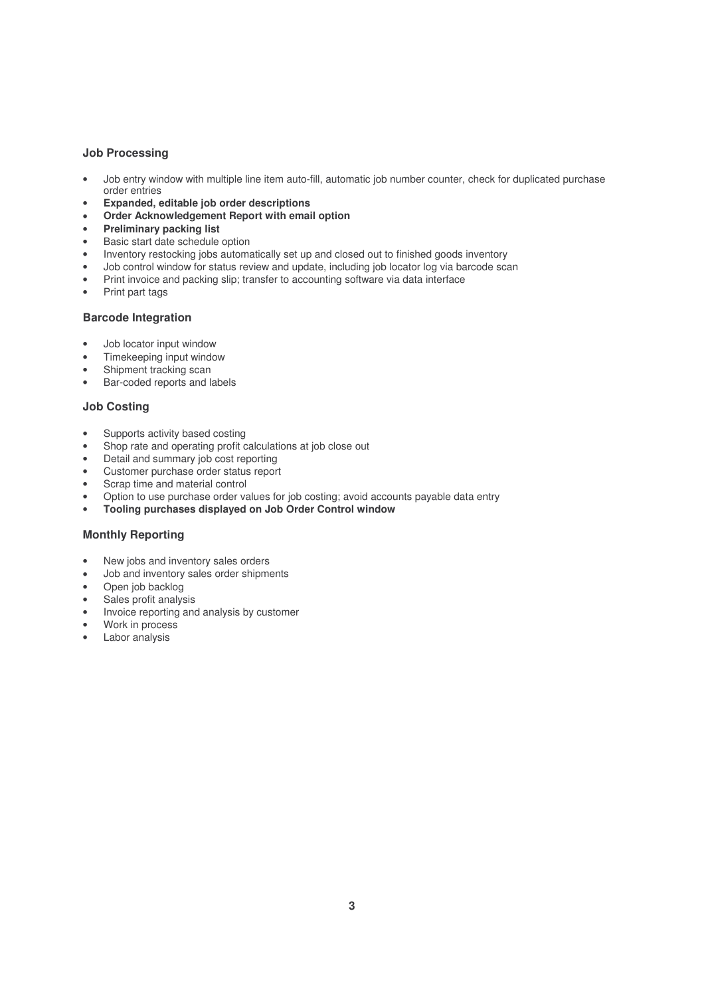#### **Job Processing**

- Job entry window with multiple line item auto-fill, automatic job number counter, check for duplicated purchase order entries
- **Expanded, editable job order descriptions**
- **Order Acknowledgement Report with email option**
- **Preliminary packing list**
- Basic start date schedule option
- Inventory restocking jobs automatically set up and closed out to finished goods inventory
- Job control window for status review and update, including job locator log via barcode scan
- Print invoice and packing slip; transfer to accounting software via data interface
- Print part tags

#### **Barcode Integration**

- Job locator input window
- Timekeeping input window
- Shipment tracking scan
- Bar-coded reports and labels

#### **Job Costing**

- Supports activity based costing
- Shop rate and operating profit calculations at job close out
- Detail and summary job cost reporting
- Customer purchase order status report
- Scrap time and material control
- Option to use purchase order values for job costing; avoid accounts payable data entry
- **Tooling purchases displayed on Job Order Control window**

#### **Monthly Reporting**

- New jobs and inventory sales orders
- Job and inventory sales order shipments
- Open job backlog
- Sales profit analysis
- Invoice reporting and analysis by customer
- Work in process
- Labor analysis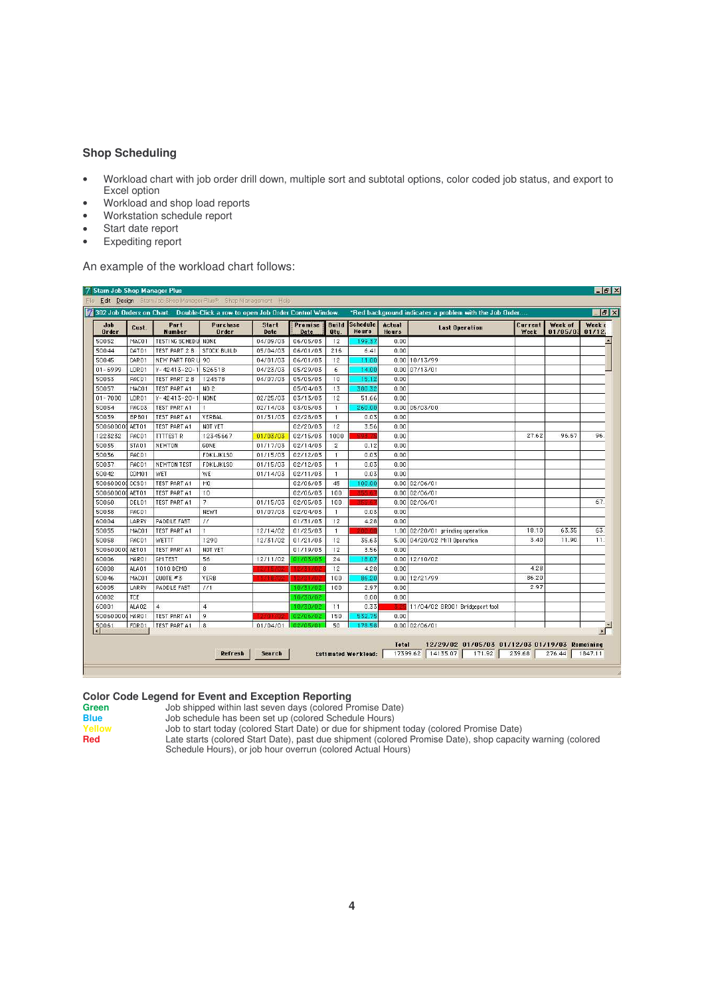#### **Shop Scheduling**

- Workload chart with job order drill down, multiple sort and subtotal options, color coded job status, and export to Excel option
- Workload and shop load reports
- Workstation schedule report
- Start date report
- Expediting report

An example of the workload chart follows:

| 302 Job Orders on Chart. Double-Click a row to open Job Order Control Window. |                   |                             |                                 |                      |                 |                      |                                 |                 |                                  | *Red background indicates a problem with the Job Order |                     |                  |
|-------------------------------------------------------------------------------|-------------------|-----------------------------|---------------------------------|----------------------|-----------------|----------------------|---------------------------------|-----------------|----------------------------------|--------------------------------------------------------|---------------------|------------------|
| $J$ ob<br>Order                                                               | Cust.             | Part<br><b>Number</b>       | <b>Purchase</b><br><b>Order</b> | <b>Start</b><br>Date | Promise<br>Date | <b>Build</b><br>Otu. | <b>Schedule</b><br><b>Hours</b> | Actual<br>Hours | <b>Last Operation</b>            | Current<br>Week                                        | Week of<br>01/05/03 | Week o<br>01/12. |
| 50052                                                                         | MAC01             | <b>TESTING SCHEDUL NONE</b> |                                 | 04/09/03             | 06/05/03        | 12                   | 199.37                          | 0.00            |                                  |                                                        |                     |                  |
| 50044                                                                         | DAT01             | TEST PART 2 B               | <b>STOCK BUILD</b>              | 05/04/03             | 06/01/03        | 216                  | 6.41                            | 0.00            |                                  |                                                        |                     |                  |
| 50045                                                                         | CAR01             | NEW PART FOR U 90           |                                 | 04/01/03             | 06/01/03        | 12                   | 11.00                           |                 | 0.00 10/13/99                    |                                                        |                     |                  |
| $01 - 6999$                                                                   | <b>LOR01</b>      | $Y - 42413 - 20 - 1$        | 526518                          | 04/23/03             | 05/29/03        | 6.                   | 14.00                           |                 | $0.00$ 07/13/01                  |                                                        |                     |                  |
| 50053                                                                         | PAC01             | TEST PART 2 B               | 124578                          | 04/07/03             | 05/05/03        | 10                   | 15.12                           | 0.00            |                                  |                                                        |                     |                  |
| 50057                                                                         | MAC01             | <b>TEST PART A1</b>         | NO 2                            |                      | 05/04/03        | 13                   | 380.32                          | 0.00            |                                  |                                                        |                     |                  |
| $01 - 7000$                                                                   | <b>LOR01</b>      | $Y - 42413 - 20 - 1$        | NONE                            | 02/25/03             | 03/13/03        | 12                   | 51.66                           | 0.00            |                                  |                                                        |                     |                  |
| 50054                                                                         | PAC03             | <b>TEST PART A1</b>         |                                 | 02/14/03             | 03/05/03        | $\mathbf{L}$         | 260.00                          |                 | $0.00$ 05/03/00                  |                                                        |                     |                  |
| 50039                                                                         | BPB01             | <b>TEST PART A1</b>         | <b>YERBAL</b>                   | 01/31/03             | 02/28/03        | $\mathbf{I}$         | 0.03                            | 0.00            |                                  |                                                        |                     |                  |
| 500600000                                                                     | AET01             | TEST PART A1                | NOT YET                         |                      | 02/20/03        | 12                   | 3.56                            | 0.00            |                                  |                                                        |                     |                  |
| 1223232                                                                       | PAC01             | <b>TTTTEST R</b>            | 12345667                        | 01/03/03             | 02/15/03        | 1000                 | 82 7                            | 0.00            |                                  | 27.62                                                  | 96.67               | 96.              |
| 50035                                                                         | STA01             | <b>NEWTON</b>               | GONE                            | 01/17/03             | 02/14/03        | $\overline{2}$       | 0.12                            | 0.00            |                                  |                                                        |                     |                  |
| 50036                                                                         | PAC01             |                             | <b>FDKLJKLSD</b>                | 01/15/03             | 02/12/03        | $\mathbf{I}$         | 0.03                            | 0.00            |                                  |                                                        |                     |                  |
| 50037                                                                         | PAC01             | <b>NEWTON TEST</b>          | FDKLJKLSD                       | 01/15/03             | 02/12/03        | $\mathbf{1}$         | 0.03                            | 0.00            |                                  |                                                        |                     |                  |
| 50042                                                                         | C0M01             | WET                         | <b>WE</b>                       | 01/14/03             | 02/11/03        | $\mathbf{1}$         | 0.03                            | 0.00            |                                  |                                                        |                     |                  |
| 500600000                                                                     | DCS01             | TEST PART A1                | M <sub>0</sub>                  |                      | 02/06/03        | 45                   | 00.00                           |                 | $0.00$ 02/06/01                  |                                                        |                     |                  |
| 500600000                                                                     | AET01             | <b>TEST PART A1</b>         | 10                              |                      | 02/06/03        | 100                  |                                 |                 | $0.00$ 02/06/01                  |                                                        |                     |                  |
| 50060                                                                         | DEL01             | <b>TEST PART A1</b>         | $\overline{7}$                  | 01/15/03             | 02/05/03        | 100                  |                                 |                 | $0.00$ 02/06/01                  |                                                        |                     | 67.              |
| 50038                                                                         | PAC01             |                             | NEWT                            | 01/07/03             | 02/04/03        | $\mathbf{1}$         | 0.03                            | 0.00            |                                  |                                                        |                     |                  |
| 60004                                                                         | LARRY             | PADDLE FAST                 | $\prime\prime$                  |                      | 01/31/03        | 12                   | 4.28                            | 0.00            |                                  |                                                        |                     |                  |
| 50055                                                                         | MAC01             | <b>TEST PART A1</b>         | 1                               | 12/14/02             | 01/25/03        | $\mathbf{1}$         |                                 |                 | 1.00 02/20/01 grinding operation | 18.10                                                  | 63.35               | 63.              |
| 50058                                                                         | PAC01             | WETTT                       | 1290                            | 12/31/02             | 01/21/03        | 12                   | 35.63                           |                 | 5.00 04/20/02 Mill Operation     | 3.40                                                   | 11.90               | 11.              |
| 50060000                                                                      | AET01             | TEST PART A1                | NOT YET                         |                      | 01/19/03        | 12                   | 3.56                            | 0.00            |                                  |                                                        |                     |                  |
| 60006                                                                         | HAR01             | <b>GM TEST</b>              | 56                              | 12/11/02             | 01/03/03        | 24                   | 18.07                           |                 | 0.00 12/10/02                    |                                                        |                     |                  |
| 60008                                                                         | ALA01             | 1010 DEMO                   | 8                               |                      |                 | 12                   | 4.28                            | 0.00            |                                  | 4.28                                                   |                     |                  |
| 50046                                                                         | MAC01             | $QUOTE$ $*3$                | <b>VERB</b>                     |                      |                 | 100                  | 86.20                           |                 | 0.00 12/21/99                    | 86.20                                                  |                     |                  |
| 60005                                                                         | LARRY             | PADDLE FAST                 | 1/1                             |                      | 10/31/02        | 100                  | 2.97                            | 0.00            |                                  | 2.97                                                   |                     |                  |
| 60002                                                                         | TCE               |                             |                                 |                      | 10/30/02        |                      | 0.00.                           | 0.00            |                                  |                                                        |                     |                  |
| 60001                                                                         | ALA02             | $\overline{4}$              | $\overline{4}$                  |                      | 10/30/02        | 11                   | 0.33                            |                 | 11/04/02 BR001 Bridgeport tool   |                                                        |                     |                  |
| 500600000                                                                     | HAR01             | <b>TEST PART A1</b>         | 9                               | 791YB                | 02/06/02        | 150                  | 532.75                          | 0.00            |                                  |                                                        |                     |                  |
| 50061                                                                         | FOR <sub>01</sub> | TEST PART A1                | l 8                             | 01/04/01             | 02/05/01        | 50                   | 178.58                          |                 | 0.00102/06/01                    |                                                        |                     |                  |

# **Color Code Legend for Event and Exception Reporting**<br>**Green** Job shipped within last seven days (colored Preporting)

Green Job shipped within last seven days (colored Promise Date)<br>**Blue** Job schedule has been set up (colored Schedule Hours)

**Blue** Job schedule has been set up (colored Schedule Hours)

**Yellow** Job to start today (colored Start Date) or due for shipment today (colored Promise Date)

**Red** Late starts (colored Start Date), past due shipment (colored Promise Date), shop capacity warning (colored Schedule Hours), or job hour overrun (colored Actual Hours)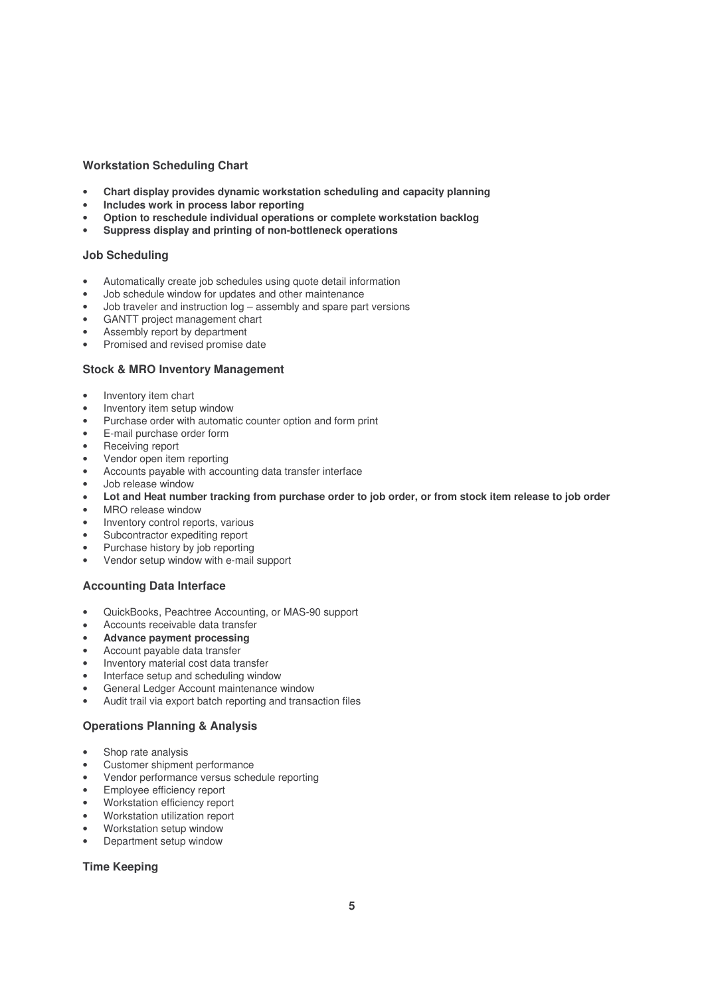#### **Workstation Scheduling Chart**

- **Chart display provides dynamic workstation scheduling and capacity planning**
- **Includes work in process labor reporting**
- **Option to reschedule individual operations or complete workstation backlog**
- **Suppress display and printing of non-bottleneck operations**

#### **Job Scheduling**

- Automatically create job schedules using quote detail information
- Job schedule window for updates and other maintenance
- Job traveler and instruction log assembly and spare part versions
- GANTT project management chart
- Assembly report by department
- Promised and revised promise date

#### **Stock & MRO Inventory Management**

- Inventory item chart
- Inventory item setup window
- Purchase order with automatic counter option and form print
- E-mail purchase order form
- Receiving report
- Vendor open item reporting
- Accounts payable with accounting data transfer interface
- Job release window
- Lot and Heat number tracking from purchase order to job order, or from stock item release to job order
- MRO release window
- Inventory control reports, various
- Subcontractor expediting report
- Purchase history by job reporting
- Vendor setup window with e-mail support

#### **Accounting Data Interface**

- QuickBooks, Peachtree Accounting, or MAS-90 support
- Accounts receivable data transfer
- **Advance payment processing**
- Account payable data transfer
- Inventory material cost data transfer
- Interface setup and scheduling window
- General Ledger Account maintenance window
- Audit trail via export batch reporting and transaction files

#### **Operations Planning & Analysis**

- Shop rate analysis
- Customer shipment performance
- Vendor performance versus schedule reporting
- Employee efficiency report
- Workstation efficiency report
- Workstation utilization report
- Workstation setup window
- Department setup window

#### **Time Keeping**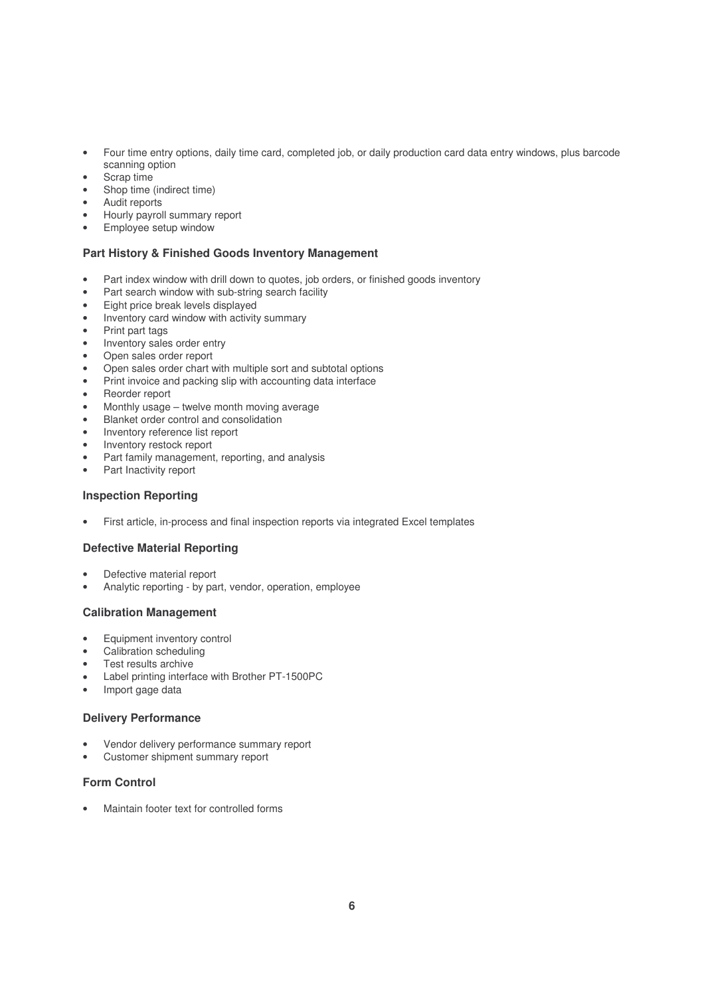- Four time entry options, daily time card, completed job, or daily production card data entry windows, plus barcode scanning option
- Scrap time
- Shop time (indirect time)
- Audit reports
- Hourly payroll summary report
- Employee setup window

#### **Part History & Finished Goods Inventory Management**

- Part index window with drill down to quotes, job orders, or finished goods inventory
- Part search window with sub-string search facility
- Eight price break levels displayed
- Inventory card window with activity summary
- Print part tags
- Inventory sales order entry
- Open sales order report
- Open sales order chart with multiple sort and subtotal options
- Print invoice and packing slip with accounting data interface
- Reorder report
- Monthly usage twelve month moving average
- Blanket order control and consolidation
- Inventory reference list report
- Inventory restock report
- Part family management, reporting, and analysis
- Part Inactivity report

#### **Inspection Reporting**

• First article, in-process and final inspection reports via integrated Excel templates

#### **Defective Material Reporting**

- Defective material report
- Analytic reporting by part, vendor, operation, employee

#### **Calibration Management**

- Equipment inventory control
- Calibration scheduling
- Test results archive
- Label printing interface with Brother PT-1500PC
- Import gage data

#### **Delivery Performance**

- Vendor delivery performance summary report
- Customer shipment summary report

#### **Form Control**

• Maintain footer text for controlled forms